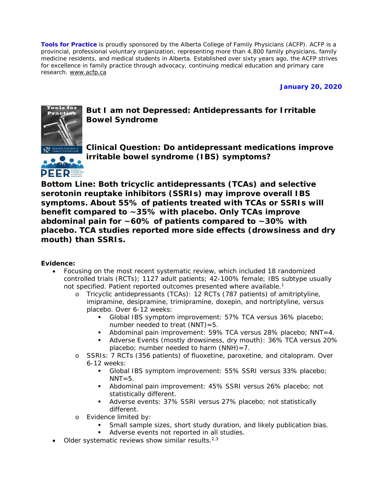**Tools for Practice** is proudly sponsored by the Alberta College of Family Physicians (ACFP). ACFP is a provincial, professional voluntary organization, representing more than 4,800 family physicians, family medicine residents, and medical students in Alberta. Established over sixty years ago, the ACFP strives for excellence in family practice through advocacy, continuing medical education and primary care research. [www.acfp.ca](http://www.acfp.ca/)

**January 20, 2020**



**But I am not Depressed: Antidepressants for Irritable Bowel Syndrome**

**PEER** 

**Clinical Question: Do antidepressant medications improve irritable bowel syndrome (IBS) symptoms?**

**Bottom Line: Both tricyclic antidepressants (TCAs) and selective serotonin reuptake inhibitors (SSRIs) may improve overall IBS symptoms. About 55% of patients treated with TCAs or SSRIs will benefit compared to ~35% with placebo. Only TCAs improve abdominal pain for ~60% of patients compared to ~30% with placebo. TCA studies reported more side effects (drowsiness and dry mouth) than SSRIs.**

### **Evidence:**

- Focusing on the most recent systematic review, which included 18 randomized controlled trials (RCTs); 1127 adult patients; 42-100% female; IBS subtype usually not specified. Patient reported outcomes presented where available.<sup>1</sup>
	- o Tricyclic antidepressants (TCAs): 12 RCTs (787 patients) of amitriptyline, imipramine, desipramine, trimipramine, doxepin, and nortriptyline, versus placebo. Over 6-12 weeks:
		- Global IBS symptom improvement: 57% TCA versus 36% placebo; number needed to treat  $(NNT) = 5$ .
		- Abdominal pain improvement: 59% TCA versus 28% placebo; NNT=4.
		- Adverse Events (mostly drowsiness, dry mouth): 36% TCA versus 20% placebo; number needed to harm  $(NNH)=7$ .
	- o SSRIs: 7 RCTs (356 patients) of fluoxetine, paroxetine, and citalopram. Over 6-12 weeks:
		- Global IBS symptom improvement: 55% SSRI versus 33% placebo;  $NNT=5$ .
		- Abdominal pain improvement: 45% SSRI versus 26% placebo; not statistically different.
		- Adverse events: 37% SSRI versus 27% placebo; not statistically different.
	- o Evidence limited by:
		- **Small sample sizes, short study duration, and likely publication bias.**
		- **Adverse events not reported in all studies.**
- Older systematic reviews show similar results. $2,3$